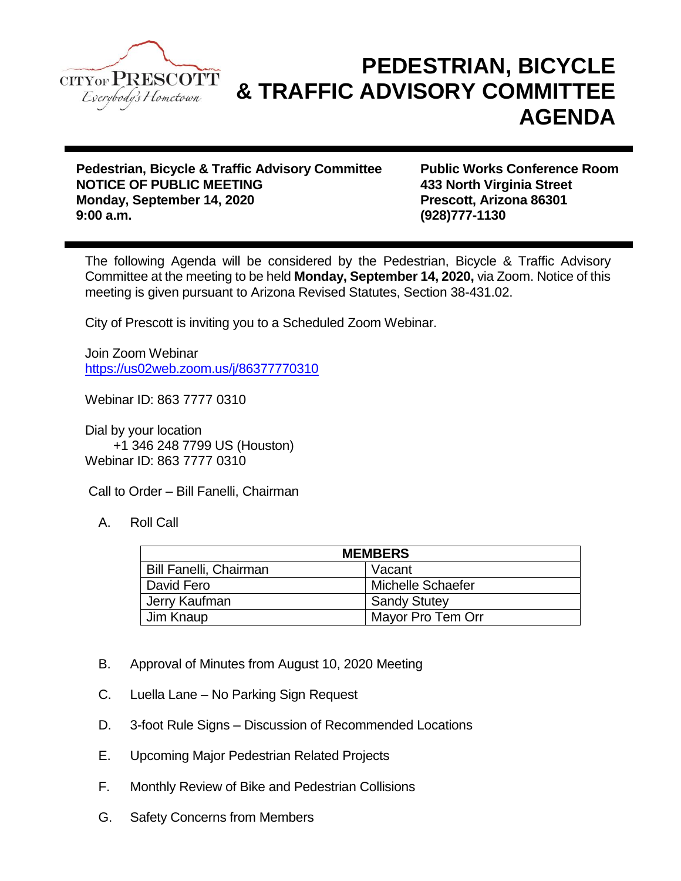

## **PEDESTRIAN, BICYCLE & TRAFFIC ADVISORY COMMITTEE AGENDA**

**Pedestrian, Bicycle & Traffic Advisory Committee Public Works Conference Room NOTICE OF PUBLIC MEETING 433 North Virginia Street Monday, September 14, 2020 Prescott, Arizona 86301 9:00 a.m. (928)777-1130**

The following Agenda will be considered by the Pedestrian, Bicycle & Traffic Advisory Committee at the meeting to be held **Monday, September 14, 2020,** via Zoom. Notice of this meeting is given pursuant to Arizona Revised Statutes, Section 38-431.02.

City of Prescott is inviting you to a Scheduled Zoom Webinar.

Join Zoom Webinar <https://us02web.zoom.us/j/86377770310>

Webinar ID: 863 7777 0310

Dial by your location +1 346 248 7799 US (Houston) Webinar ID: 863 7777 0310

Call to Order – Bill Fanelli, Chairman

A. Roll Call

| <b>MEMBERS</b>                |                     |
|-------------------------------|---------------------|
| <b>Bill Fanelli, Chairman</b> | Vacant              |
| David Fero                    | Michelle Schaefer   |
| Jerry Kaufman                 | <b>Sandy Stutey</b> |
| Jim Knaup                     | Mayor Pro Tem Orr   |

- B. Approval of Minutes from August 10, 2020 Meeting
- C. Luella Lane No Parking Sign Request
- D. 3-foot Rule Signs Discussion of Recommended Locations
- E. Upcoming Major Pedestrian Related Projects
- F. Monthly Review of Bike and Pedestrian Collisions
- G. Safety Concerns from Members